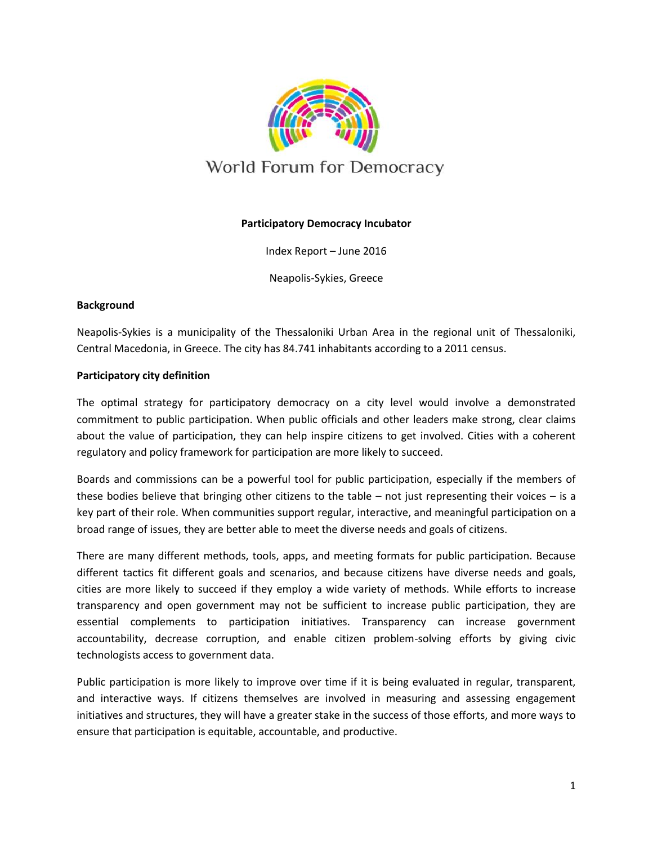

# **Participatory Democracy Incubator**

Index Report – June 2016

Neapolis-Sykies, Greece

# **Background**

Neapolis-Sykies is a municipality of the Thessaloniki Urban Area in the regional unit of Thessaloniki, Central Macedonia, in Greece. The city has 84.741 inhabitants according to a 2011 census.

# **Participatory city definition**

The optimal strategy for participatory democracy on a city level would involve a demonstrated commitment to public participation. When public officials and other leaders make strong, clear claims about the value of participation, they can help inspire citizens to get involved. Cities with a coherent regulatory and policy framework for participation are more likely to succeed.

Boards and commissions can be a powerful tool for public participation, especially if the members of these bodies believe that bringing other citizens to the table – not just representing their voices – is a key part of their role. When communities support regular, interactive, and meaningful participation on a broad range of issues, they are better able to meet the diverse needs and goals of citizens.

There are many different methods, tools, apps, and meeting formats for public participation. Because different tactics fit different goals and scenarios, and because citizens have diverse needs and goals, cities are more likely to succeed if they employ a wide variety of methods. While efforts to increase transparency and open government may not be sufficient to increase public participation, they are essential complements to participation initiatives. Transparency can increase government accountability, decrease corruption, and enable citizen problem-solving efforts by giving civic technologists access to government data.

Public participation is more likely to improve over time if it is being evaluated in regular, transparent, and interactive ways. If citizens themselves are involved in measuring and assessing engagement initiatives and structures, they will have a greater stake in the success of those efforts, and more ways to ensure that participation is equitable, accountable, and productive.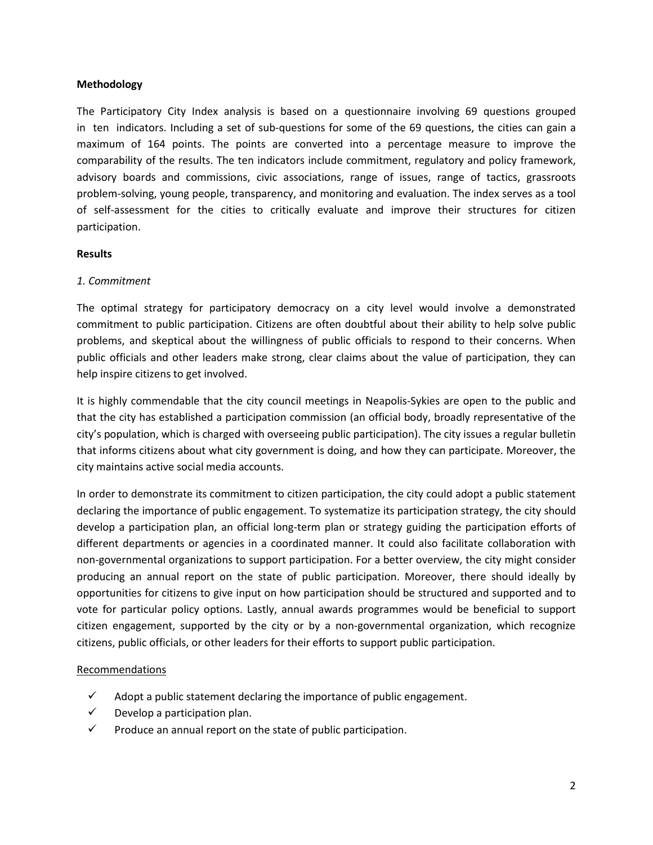# **Methodology**

The Participatory City Index analysis is based on a questionnaire involving 69 questions grouped in ten indicators. Including a set of sub-questions for some of the 69 questions, the cities can gain a maximum of 164 points. The points are converted into a percentage measure to improve the comparability of the results. The ten indicators include commitment, regulatory and policy framework, advisory boards and commissions, civic associations, range of issues, range of tactics, grassroots problem-solving, young people, transparency, and monitoring and evaluation. The index serves as a tool of self-assessment for the cities to critically evaluate and improve their structures for citizen participation.

#### **Results**

# *1. Commitment*

The optimal strategy for participatory democracy on a city level would involve a demonstrated commitment to public participation. Citizens are often doubtful about their ability to help solve public problems, and skeptical about the willingness of public officials to respond to their concerns. When public officials and other leaders make strong, clear claims about the value of participation, they can help inspire citizens to get involved.

It is highly commendable that the city council meetings in Neapolis-Sykies are open to the public and that the city has established a participation commission (an official body, broadly representative of the city's population, which is charged with overseeing public participation). The city issues a regular bulletin that informs citizens about what city government is doing, and how they can participate. Moreover, the city maintains active social media accounts.

In order to demonstrate its commitment to citizen participation, the city could adopt a public statement declaring the importance of public engagement. To systematize its participation strategy, the city should develop a participation plan, an official long-term plan or strategy guiding the participation efforts of different departments or agencies in a coordinated manner. It could also facilitate collaboration with non-governmental organizations to support participation. For a better overview, the city might consider producing an annual report on the state of public participation. Moreover, there should ideally by opportunities for citizens to give input on how participation should be structured and supported and to vote for particular policy options. Lastly, annual awards programmes would be beneficial to support citizen engagement, supported by the city or by a non-governmental organization, which recognize citizens, public officials, or other leaders for their efforts to support public participation.

- $\checkmark$  Adopt a public statement declaring the importance of public engagement.
- $\checkmark$  Develop a participation plan.
- $\checkmark$  Produce an annual report on the state of public participation.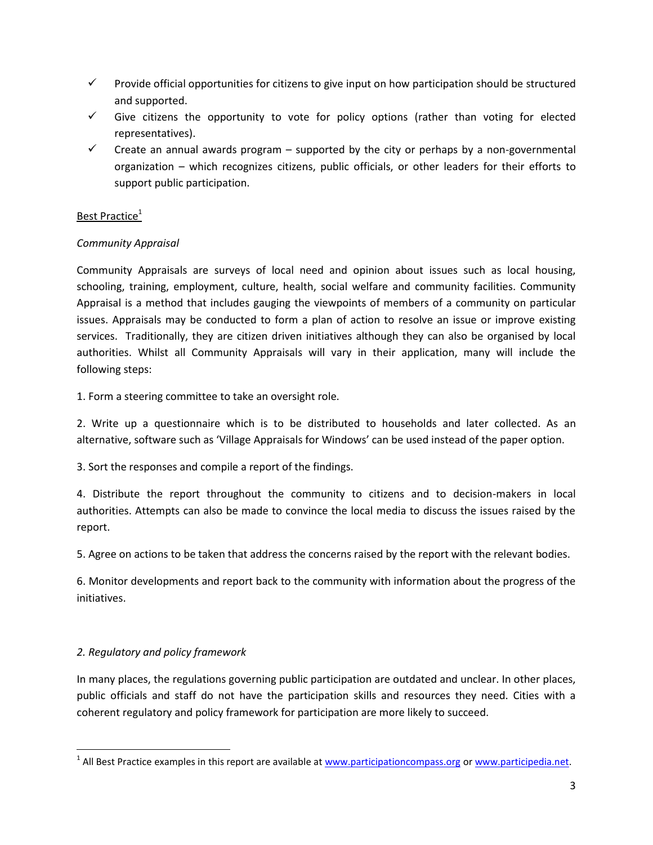- $\checkmark$  Provide official opportunities for citizens to give input on how participation should be structured and supported.
- $\checkmark$  Give citizens the opportunity to vote for policy options (rather than voting for elected representatives).
- $\checkmark$  Create an annual awards program supported by the city or perhaps by a non-governmental organization – which recognizes citizens, public officials, or other leaders for their efforts to support public participation.

# Best Practice<sup>1</sup>

# *Community Appraisal*

Community Appraisals are surveys of local need and opinion about issues such as local housing, schooling, training, employment, culture, health, social welfare and community facilities. Community Appraisal is a method that includes gauging the viewpoints of members of a community on particular issues. Appraisals may be conducted to form a plan of action to resolve an issue or improve existing services. Traditionally, they are citizen driven initiatives although they can also be organised by local authorities. Whilst all Community Appraisals will vary in their application, many will include the following steps:

1. Form a steering committee to take an oversight role.

2. Write up a questionnaire which is to be distributed to households and later collected. As an alternative, software such as 'Village Appraisals for Windows' can be used instead of the paper option.

3. Sort the responses and compile a report of the findings.

4. Distribute the report throughout the community to citizens and to decision-makers in local authorities. Attempts can also be made to convince the local media to discuss the issues raised by the report.

5. Agree on actions to be taken that address the concerns raised by the report with the relevant bodies.

6. Monitor developments and report back to the community with information about the progress of the initiatives.

# *2. Regulatory and policy framework*

 $\overline{\phantom{a}}$ 

In many places, the regulations governing public participation are outdated and unclear. In other places, public officials and staff do not have the participation skills and resources they need. Cities with a coherent regulatory and policy framework for participation are more likely to succeed.

<sup>&</sup>lt;sup>1</sup> All Best Practice examples in this report are available at [www.participationcompass.org](http://www.participationcompass.org/) o[r www.participedia.net.](http://www.participedia.net/)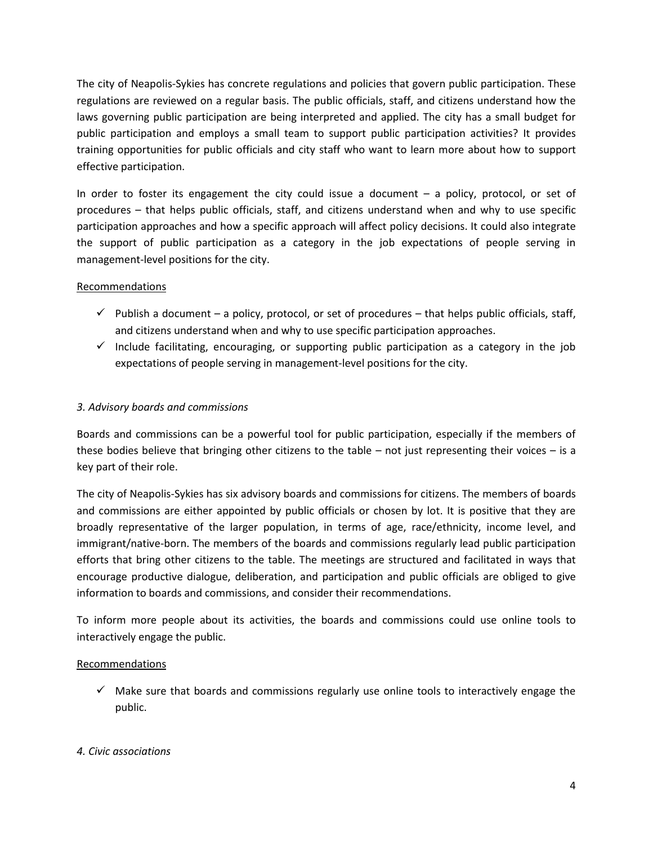The city of Neapolis-Sykies has concrete regulations and policies that govern public participation. These regulations are reviewed on a regular basis. The public officials, staff, and citizens understand how the laws governing public participation are being interpreted and applied. The city has a small budget for public participation and employs a small team to support public participation activities? It provides training opportunities for public officials and city staff who want to learn more about how to support effective participation.

In order to foster its engagement the city could issue a document – a policy, protocol, or set of procedures – that helps public officials, staff, and citizens understand when and why to use specific participation approaches and how a specific approach will affect policy decisions. It could also integrate the support of public participation as a category in the job expectations of people serving in management-level positions for the city.

# **Recommendations**

- $\checkmark$  Publish a document a policy, protocol, or set of procedures that helps public officials, staff, and citizens understand when and why to use specific participation approaches.
- $\checkmark$  Include facilitating, encouraging, or supporting public participation as a category in the job expectations of people serving in management-level positions for the city.

# *3. Advisory boards and commissions*

Boards and commissions can be a powerful tool for public participation, especially if the members of these bodies believe that bringing other citizens to the table – not just representing their voices – is a key part of their role.

The city of Neapolis-Sykies has six advisory boards and commissions for citizens. The members of boards and commissions are either appointed by public officials or chosen by lot. It is positive that they are broadly representative of the larger population, in terms of age, race/ethnicity, income level, and immigrant/native-born. The members of the boards and commissions regularly lead public participation efforts that bring other citizens to the table. The meetings are structured and facilitated in ways that encourage productive dialogue, deliberation, and participation and public officials are obliged to give information to boards and commissions, and consider their recommendations.

To inform more people about its activities, the boards and commissions could use online tools to interactively engage the public.

# Recommendations

 $\checkmark$  Make sure that boards and commissions regularly use online tools to interactively engage the public.

# *4. Civic associations*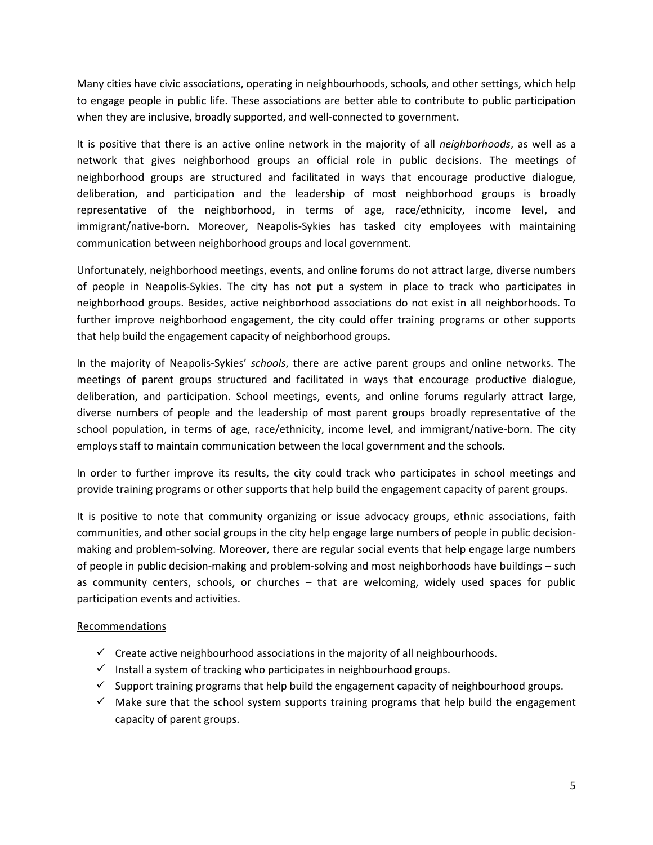Many cities have civic associations, operating in neighbourhoods, schools, and other settings, which help to engage people in public life. These associations are better able to contribute to public participation when they are inclusive, broadly supported, and well-connected to government.

It is positive that there is an active online network in the majority of all *neighborhoods*, as well as a network that gives neighborhood groups an official role in public decisions. The meetings of neighborhood groups are structured and facilitated in ways that encourage productive dialogue, deliberation, and participation and the leadership of most neighborhood groups is broadly representative of the neighborhood, in terms of age, race/ethnicity, income level, and immigrant/native-born. Moreover, Neapolis-Sykies has tasked city employees with maintaining communication between neighborhood groups and local government.

Unfortunately, neighborhood meetings, events, and online forums do not attract large, diverse numbers of people in Neapolis-Sykies. The city has not put a system in place to track who participates in neighborhood groups. Besides, active neighborhood associations do not exist in all neighborhoods. To further improve neighborhood engagement, the city could offer training programs or other supports that help build the engagement capacity of neighborhood groups.

In the majority of Neapolis-Sykies' *schools*, there are active parent groups and online networks. The meetings of parent groups structured and facilitated in ways that encourage productive dialogue, deliberation, and participation. School meetings, events, and online forums regularly attract large, diverse numbers of people and the leadership of most parent groups broadly representative of the school population, in terms of age, race/ethnicity, income level, and immigrant/native-born. The city employs staff to maintain communication between the local government and the schools.

In order to further improve its results, the city could track who participates in school meetings and provide training programs or other supports that help build the engagement capacity of parent groups.

It is positive to note that community organizing or issue advocacy groups, ethnic associations, faith communities, and other social groups in the city help engage large numbers of people in public decisionmaking and problem-solving. Moreover, there are regular social events that help engage large numbers of people in public decision-making and problem-solving and most neighborhoods have buildings – such as community centers, schools, or churches – that are welcoming, widely used spaces for public participation events and activities.

- $\checkmark$  Create active neighbourhood associations in the majority of all neighbourhoods.
- $\checkmark$  Install a system of tracking who participates in neighbourhood groups.
- $\checkmark$  Support training programs that help build the engagement capacity of neighbourhood groups.
- $\checkmark$  Make sure that the school system supports training programs that help build the engagement capacity of parent groups.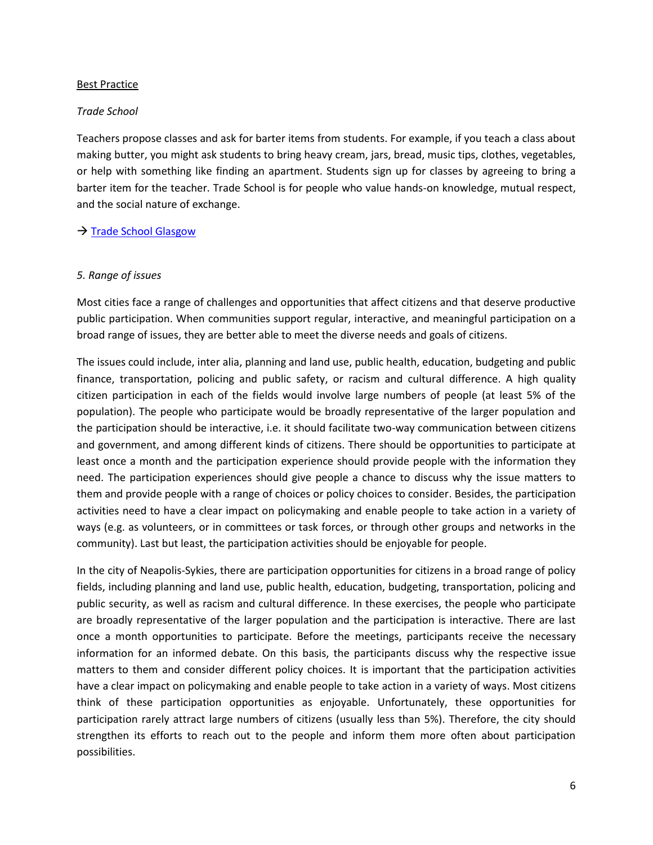#### Best Practice

#### *Trade School*

Teachers propose classes and ask for barter items from students. For example, if you teach a class about making butter, you might ask students to bring heavy cream, jars, bread, music tips, clothes, vegetables, or help with something like finding an apartment. Students sign up for classes by agreeing to bring a barter item for the teacher. Trade School is for people who value hands-on knowledge, mutual respect, and the social nature of exchange.

# $\rightarrow$  [Trade School](http://tradeschool.coop/about/) Glasgow

# *5. Range of issues*

Most cities face a range of challenges and opportunities that affect citizens and that deserve productive public participation. When communities support regular, interactive, and meaningful participation on a broad range of issues, they are better able to meet the diverse needs and goals of citizens.

The issues could include, inter alia, planning and land use, public health, education, budgeting and public finance, transportation, policing and public safety, or racism and cultural difference. A high quality citizen participation in each of the fields would involve large numbers of people (at least 5% of the population). The people who participate would be broadly representative of the larger population and the participation should be interactive, i.e. it should facilitate two-way communication between citizens and government, and among different kinds of citizens. There should be opportunities to participate at least once a month and the participation experience should provide people with the information they need. The participation experiences should give people a chance to discuss why the issue matters to them and provide people with a range of choices or policy choices to consider. Besides, the participation activities need to have a clear impact on policymaking and enable people to take action in a variety of ways (e.g. as volunteers, or in committees or task forces, or through other groups and networks in the community). Last but least, the participation activities should be enjoyable for people.

In the city of Neapolis-Sykies, there are participation opportunities for citizens in a broad range of policy fields, including planning and land use, public health, education, budgeting, transportation, policing and public security, as well as racism and cultural difference. In these exercises, the people who participate are broadly representative of the larger population and the participation is interactive. There are last once a month opportunities to participate. Before the meetings, participants receive the necessary information for an informed debate. On this basis, the participants discuss why the respective issue matters to them and consider different policy choices. It is important that the participation activities have a clear impact on policymaking and enable people to take action in a variety of ways. Most citizens think of these participation opportunities as enjoyable. Unfortunately, these opportunities for participation rarely attract large numbers of citizens (usually less than 5%). Therefore, the city should strengthen its efforts to reach out to the people and inform them more often about participation possibilities.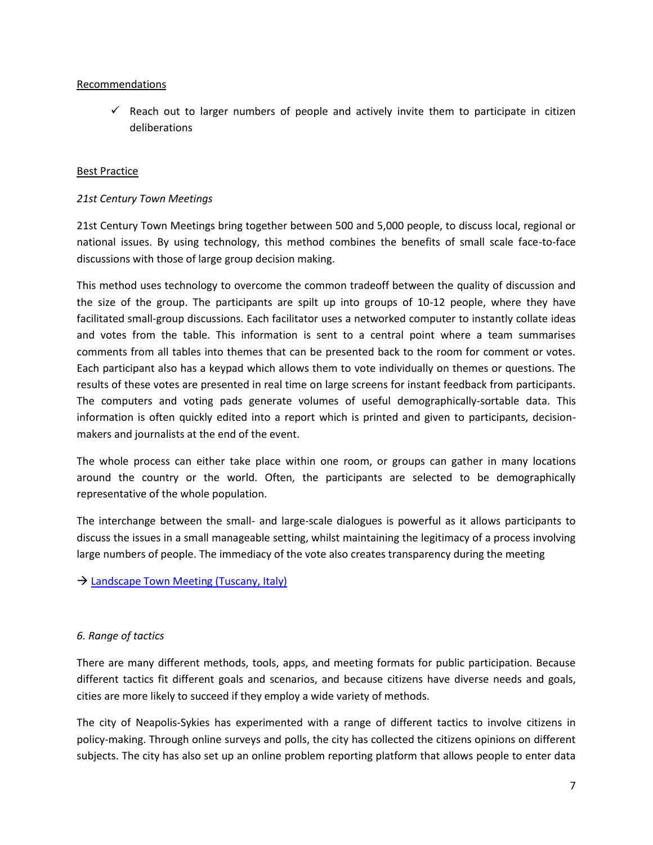# Recommendations

 $\checkmark$  Reach out to larger numbers of people and actively invite them to participate in citizen deliberations

# Best Practice

# *21st Century Town Meetings*

21st Century Town Meetings bring together between 500 and 5,000 people, to discuss local, regional or national issues. By using technology, this method combines the benefits of small scale face-to-face discussions with those of large group decision making.

This method uses technology to overcome the common tradeoff between the quality of discussion and the size of the group. The participants are spilt up into groups of 10-12 people, where they have facilitated small-group discussions. Each facilitator uses a networked computer to instantly collate ideas and votes from the table. This information is sent to a central point where a team summarises comments from all tables into themes that can be presented back to the room for comment or votes. Each participant also has a keypad which allows them to vote individually on themes or questions. The results of these votes are presented in real time on large screens for instant feedback from participants. The computers and voting pads generate volumes of useful demographically-sortable data. This information is often quickly edited into a report which is printed and given to participants, decisionmakers and journalists at the end of the event.

The whole process can either take place within one room, or groups can gather in many locations around the country or the world. Often, the participants are selected to be demographically representative of the whole population.

The interchange between the small- and large-scale dialogues is powerful as it allows participants to discuss the issues in a small manageable setting, whilst maintaining the legitimacy of a process involving large numbers of people. The immediacy of the vote also creates transparency during the meeting

 $\rightarrow$  [Landscape Town Meeting \(Tuscany, Italy\)](http://participedia.net/en/cases/landscape-town-meeting-tuscany-italy)

# *6. Range of tactics*

There are many different methods, tools, apps, and meeting formats for public participation. Because different tactics fit different goals and scenarios, and because citizens have diverse needs and goals, cities are more likely to succeed if they employ a wide variety of methods.

The city of Neapolis-Sykies has experimented with a range of different tactics to involve citizens in policy-making. Through online surveys and polls, the city has collected the citizens opinions on different subjects. The city has also set up an online problem reporting platform that allows people to enter data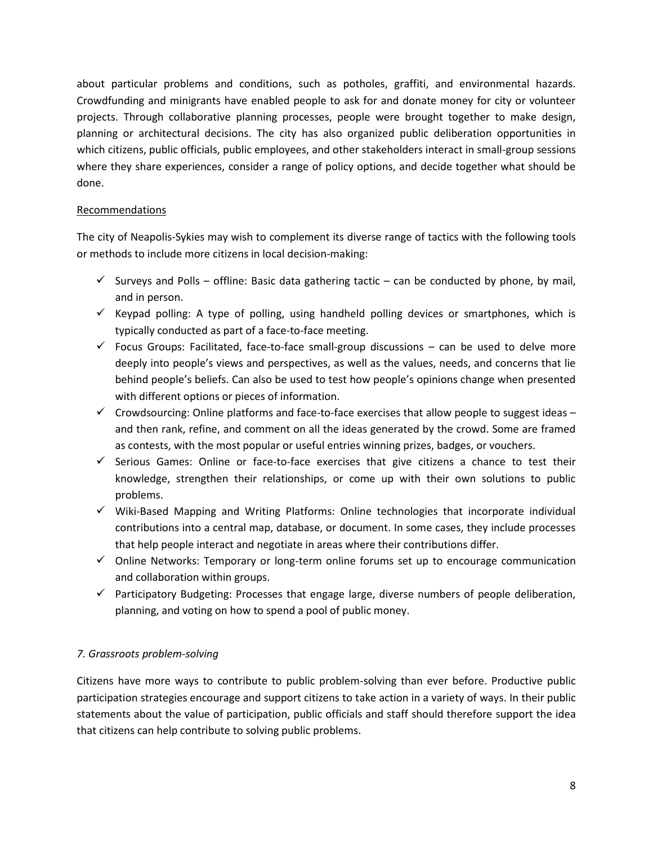about particular problems and conditions, such as potholes, graffiti, and environmental hazards. Crowdfunding and minigrants have enabled people to ask for and donate money for city or volunteer projects. Through collaborative planning processes, people were brought together to make design, planning or architectural decisions. The city has also organized public deliberation opportunities in which citizens, public officials, public employees, and other stakeholders interact in small-group sessions where they share experiences, consider a range of policy options, and decide together what should be done.

# Recommendations

The city of Neapolis-Sykies may wish to complement its diverse range of tactics with the following tools or methods to include more citizens in local decision-making:

- $\checkmark$  Surveys and Polls offline: Basic data gathering tactic can be conducted by phone, by mail, and in person.
- $\checkmark$  Keypad polling: A type of polling, using handheld polling devices or smartphones, which is typically conducted as part of a face-to-face meeting.
- $\checkmark$  Focus Groups: Facilitated, face-to-face small-group discussions can be used to delve more deeply into people's views and perspectives, as well as the values, needs, and concerns that lie behind people's beliefs. Can also be used to test how people's opinions change when presented with different options or pieces of information.
- $\checkmark$  Crowdsourcing: Online platforms and face-to-face exercises that allow people to suggest ideas and then rank, refine, and comment on all the ideas generated by the crowd. Some are framed as contests, with the most popular or useful entries winning prizes, badges, or vouchers.
- $\checkmark$  Serious Games: Online or face-to-face exercises that give citizens a chance to test their knowledge, strengthen their relationships, or come up with their own solutions to public problems.
- $\checkmark$  Wiki-Based Mapping and Writing Platforms: Online technologies that incorporate individual contributions into a central map, database, or document. In some cases, they include processes that help people interact and negotiate in areas where their contributions differ.
- $\checkmark$  Online Networks: Temporary or long-term online forums set up to encourage communication and collaboration within groups.
- $\checkmark$  Participatory Budgeting: Processes that engage large, diverse numbers of people deliberation, planning, and voting on how to spend a pool of public money.

# *7. Grassroots problem-solving*

Citizens have more ways to contribute to public problem-solving than ever before. Productive public participation strategies encourage and support citizens to take action in a variety of ways. In their public statements about the value of participation, public officials and staff should therefore support the idea that citizens can help contribute to solving public problems.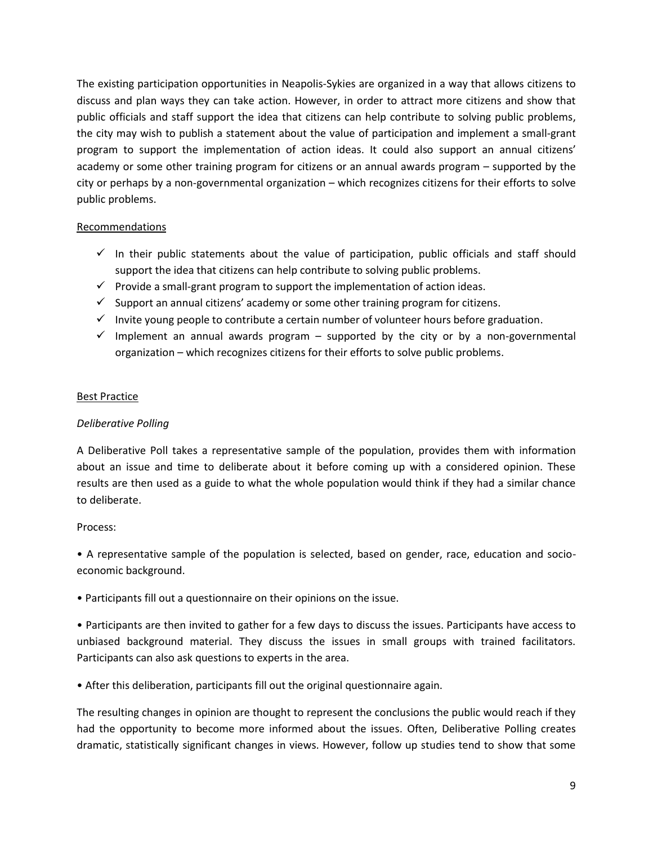The existing participation opportunities in Neapolis-Sykies are organized in a way that allows citizens to discuss and plan ways they can take action. However, in order to attract more citizens and show that public officials and staff support the idea that citizens can help contribute to solving public problems, the city may wish to publish a statement about the value of participation and implement a small-grant program to support the implementation of action ideas. It could also support an annual citizens' academy or some other training program for citizens or an annual awards program – supported by the city or perhaps by a non-governmental organization – which recognizes citizens for their efforts to solve public problems.

# Recommendations

- $\checkmark$  In their public statements about the value of participation, public officials and staff should support the idea that citizens can help contribute to solving public problems.
- $\checkmark$  Provide a small-grant program to support the implementation of action ideas.
- $\checkmark$  Support an annual citizens' academy or some other training program for citizens.
- $\checkmark$  Invite young people to contribute a certain number of volunteer hours before graduation.
- $\checkmark$  Implement an annual awards program supported by the city or by a non-governmental organization – which recognizes citizens for their efforts to solve public problems.

# Best Practice

# *Deliberative Polling*

A Deliberative Poll takes a representative sample of the population, provides them with information about an issue and time to deliberate about it before coming up with a considered opinion. These results are then used as a guide to what the whole population would think if they had a similar chance to deliberate.

# Process:

• A representative sample of the population is selected, based on gender, race, education and socioeconomic background.

• Participants fill out a questionnaire on their opinions on the issue.

• Participants are then invited to gather for a few days to discuss the issues. Participants have access to unbiased background material. They discuss the issues in small groups with trained facilitators. Participants can also ask questions to experts in the area.

• After this deliberation, participants fill out the original questionnaire again.

The resulting changes in opinion are thought to represent the conclusions the public would reach if they had the opportunity to become more informed about the issues. Often, Deliberative Polling creates dramatic, statistically significant changes in views. However, follow up studies tend to show that some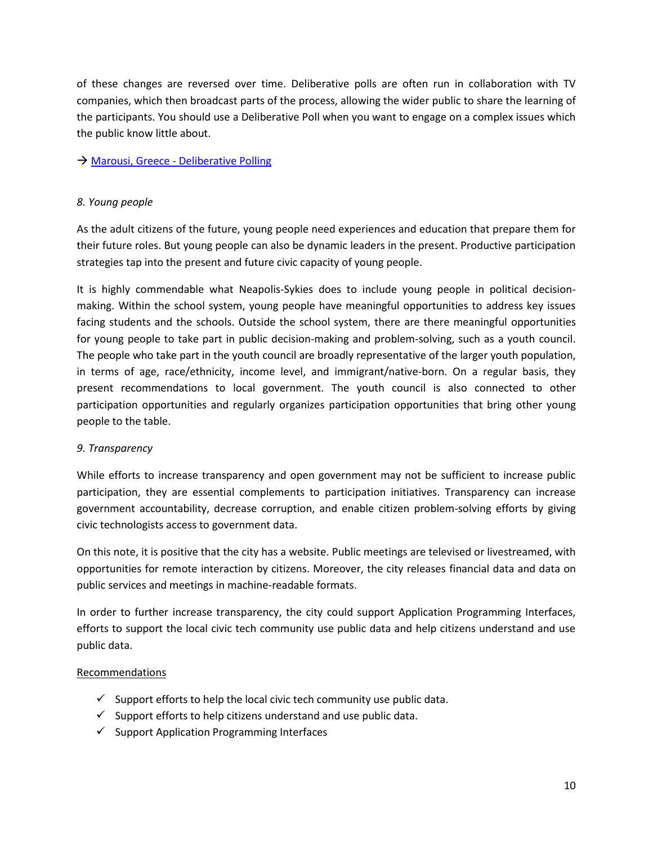of these changes are reversed over time. Deliberative polls are often run in collaboration with TV companies, which then broadcast parts of the process, allowing the wider public to share the learning of the participants. You should use a Deliberative Poll when you want to engage on a complex issues which the public know little about.

# $\rightarrow$  Marousi, Greece - [Deliberative Polling](http://participedia.net/en/cases/marousi-greece-deliberative-polling)

# *8. Young people*

As the adult citizens of the future, young people need experiences and education that prepare them for their future roles. But young people can also be dynamic leaders in the present. Productive participation strategies tap into the present and future civic capacity of young people.

It is highly commendable what Neapolis-Sykies does to include young people in political decisionmaking. Within the school system, young people have meaningful opportunities to address key issues facing students and the schools. Outside the school system, there are there meaningful opportunities for young people to take part in public decision-making and problem-solving, such as a youth council. The people who take part in the youth council are broadly representative of the larger youth population, in terms of age, race/ethnicity, income level, and immigrant/native-born. On a regular basis, they present recommendations to local government. The youth council is also connected to other participation opportunities and regularly organizes participation opportunities that bring other young people to the table.

# *9. Transparency*

While efforts to increase transparency and open government may not be sufficient to increase public participation, they are essential complements to participation initiatives. Transparency can increase government accountability, decrease corruption, and enable citizen problem-solving efforts by giving civic technologists access to government data.

On this note, it is positive that the city has a website. Public meetings are televised or livestreamed, with opportunities for remote interaction by citizens. Moreover, the city releases financial data and data on public services and meetings in machine-readable formats.

In order to further increase transparency, the city could support Application Programming Interfaces, efforts to support the local civic tech community use public data and help citizens understand and use public data.

- $\checkmark$  Support efforts to help the local civic tech community use public data.
- $\checkmark$  Support efforts to help citizens understand and use public data.
- $\checkmark$  Support Application Programming Interfaces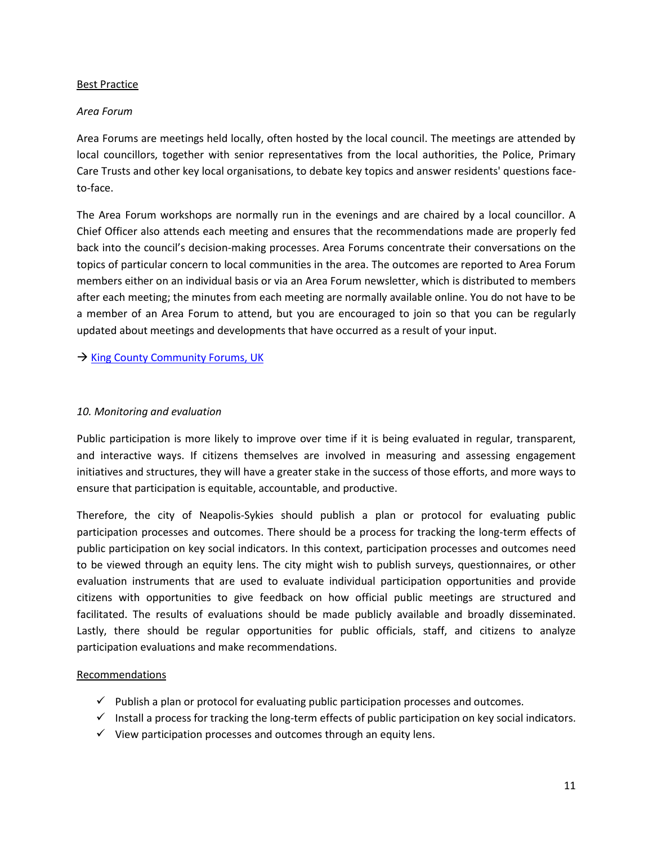#### Best Practice

#### *Area Forum*

Area Forums are meetings held locally, often hosted by the local council. The meetings are attended by local councillors, together with senior representatives from the local authorities, the Police, Primary Care Trusts and other key local organisations, to debate key topics and answer residents' questions faceto-face.

The Area Forum workshops are normally run in the evenings and are chaired by a local councillor. A Chief Officer also attends each meeting and ensures that the recommendations made are properly fed back into the council's decision-making processes. Area Forums concentrate their conversations on the topics of particular concern to local communities in the area. The outcomes are reported to Area Forum members either on an individual basis or via an Area Forum newsletter, which is distributed to members after each meeting; the minutes from each meeting are normally available online. You do not have to be a member of an Area Forum to attend, but you are encouraged to join so that you can be regularly updated about meetings and developments that have occurred as a result of your input.

 $\rightarrow$  [King County Community Forums, UK](http://participedia.net/en/cases/countywide-community-forums-king-county)

#### *10. Monitoring and evaluation*

Public participation is more likely to improve over time if it is being evaluated in regular, transparent, and interactive ways. If citizens themselves are involved in measuring and assessing engagement initiatives and structures, they will have a greater stake in the success of those efforts, and more ways to ensure that participation is equitable, accountable, and productive.

Therefore, the city of Neapolis-Sykies should publish a plan or protocol for evaluating public participation processes and outcomes. There should be a process for tracking the long-term effects of public participation on key social indicators. In this context, participation processes and outcomes need to be viewed through an equity lens. The city might wish to publish surveys, questionnaires, or other evaluation instruments that are used to evaluate individual participation opportunities and provide citizens with opportunities to give feedback on how official public meetings are structured and facilitated. The results of evaluations should be made publicly available and broadly disseminated. Lastly, there should be regular opportunities for public officials, staff, and citizens to analyze participation evaluations and make recommendations.

- $\checkmark$  Publish a plan or protocol for evaluating public participation processes and outcomes.
- $\checkmark$  Install a process for tracking the long-term effects of public participation on key social indicators.
- $\checkmark$  View participation processes and outcomes through an equity lens.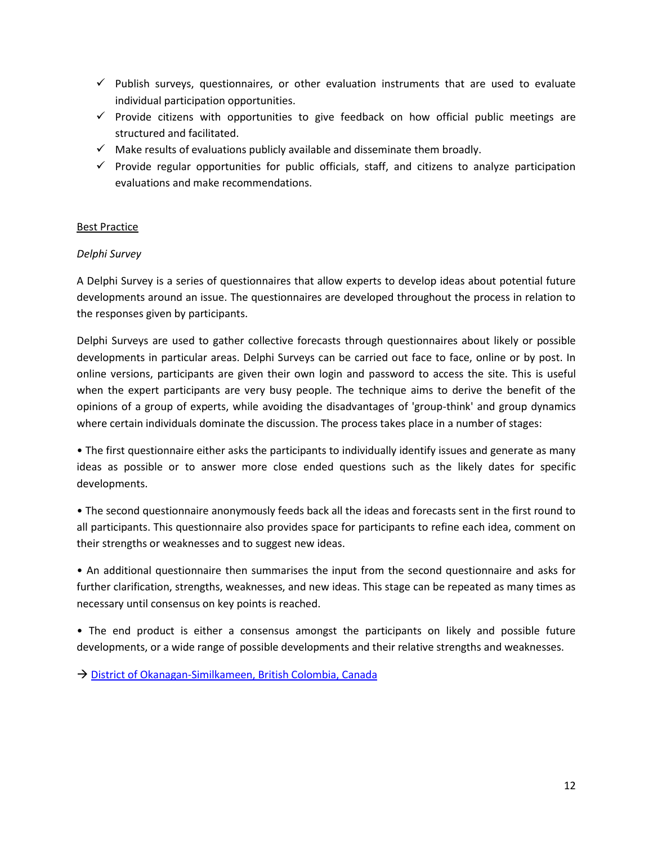- $\checkmark$  Publish surveys, questionnaires, or other evaluation instruments that are used to evaluate individual participation opportunities.
- $\checkmark$  Provide citizens with opportunities to give feedback on how official public meetings are structured and facilitated.
- $\checkmark$  Make results of evaluations publicly available and disseminate them broadly.
- $\checkmark$  Provide regular opportunities for public officials, staff, and citizens to analyze participation evaluations and make recommendations.

# Best Practice

#### *Delphi Survey*

A Delphi Survey is a series of questionnaires that allow experts to develop ideas about potential future developments around an issue. The questionnaires are developed throughout the process in relation to the responses given by participants.

Delphi Surveys are used to gather collective forecasts through questionnaires about likely or possible developments in particular areas. Delphi Surveys can be carried out face to face, online or by post. In online versions, participants are given their own login and password to access the site. This is useful when the expert participants are very busy people. The technique aims to derive the benefit of the opinions of a group of experts, while avoiding the disadvantages of 'group-think' and group dynamics where certain individuals dominate the discussion. The process takes place in a number of stages:

• The first questionnaire either asks the participants to individually identify issues and generate as many ideas as possible or to answer more close ended questions such as the likely dates for specific developments.

• The second questionnaire anonymously feeds back all the ideas and forecasts sent in the first round to all participants. This questionnaire also provides space for participants to refine each idea, comment on their strengths or weaknesses and to suggest new ideas.

• An additional questionnaire then summarises the input from the second questionnaire and asks for further clarification, strengths, weaknesses, and new ideas. This stage can be repeated as many times as necessary until consensus on key points is reached.

• The end product is either a consensus amongst the participants on likely and possible future developments, or a wide range of possible developments and their relative strengths and weaknesses.

→ [District of Okanagan-Similkameen, British Colombia, Canada](http://participedia.net/en/cases/use-delphi-method-develop-horse-control-strategy)